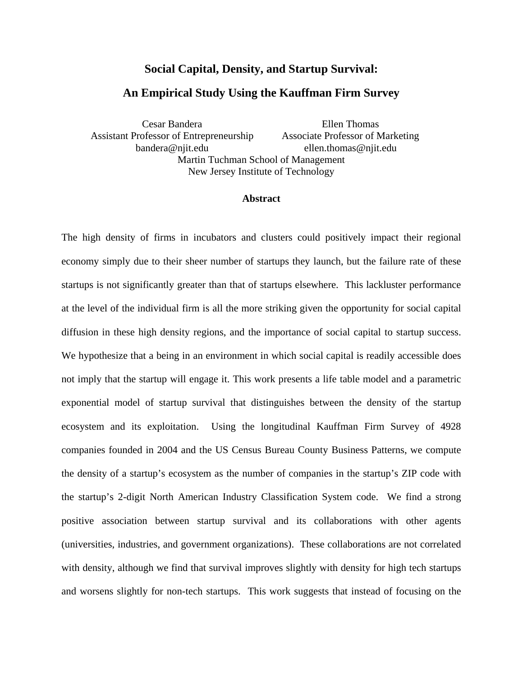# **Social Capital, Density, and Startup Survival:**

# **An Empirical Study Using the Kauffman Firm Survey**

Cesar Bandera Assistant Professor of Entrepreneurship bandera@njit.edu Ellen Thomas Associate Professor of Marketing ellen.thomas@njit.edu Martin Tuchman School of Management New Jersey Institute of Technology

### **Abstract**

The high density of firms in incubators and clusters could positively impact their regional economy simply due to their sheer number of startups they launch, but the failure rate of these startups is not significantly greater than that of startups elsewhere. This lackluster performance at the level of the individual firm is all the more striking given the opportunity for social capital diffusion in these high density regions, and the importance of social capital to startup success. We hypothesize that a being in an environment in which social capital is readily accessible does not imply that the startup will engage it. This work presents a life table model and a parametric exponential model of startup survival that distinguishes between the density of the startup ecosystem and its exploitation. Using the longitudinal Kauffman Firm Survey of 4928 companies founded in 2004 and the US Census Bureau County Business Patterns, we compute the density of a startup's ecosystem as the number of companies in the startup's ZIP code with the startup's 2-digit North American Industry Classification System code. We find a strong positive association between startup survival and its collaborations with other agents (universities, industries, and government organizations). These collaborations are not correlated with density, although we find that survival improves slightly with density for high tech startups and worsens slightly for non-tech startups. This work suggests that instead of focusing on the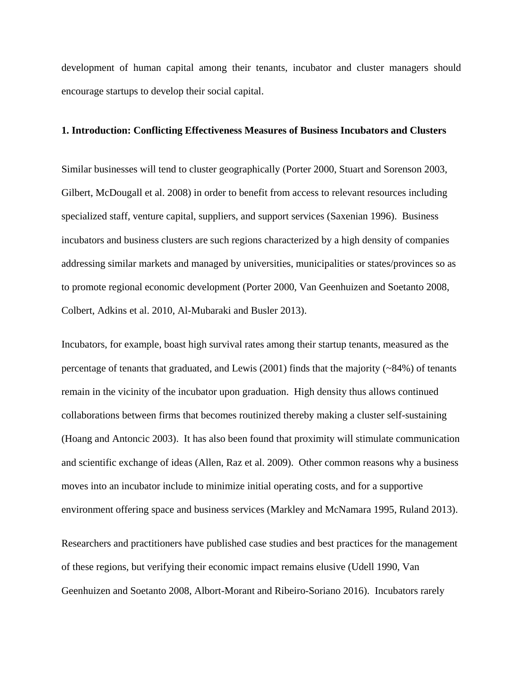development of human capital among their tenants, incubator and cluster managers should encourage startups to develop their social capital.

#### **1. Introduction: Conflicting Effectiveness Measures of Business Incubators and Clusters**

Similar businesses will tend to cluster geographically (Porter 2000, Stuart and Sorenson 2003, Gilbert, McDougall et al. 2008) in order to benefit from access to relevant resources including specialized staff, venture capital, suppliers, and support services (Saxenian 1996). Business incubators and business clusters are such regions characterized by a high density of companies addressing similar markets and managed by universities, municipalities or states/provinces so as to promote regional economic development (Porter 2000, Van Geenhuizen and Soetanto 2008, Colbert, Adkins et al. 2010, Al-Mubaraki and Busler 2013).

Incubators, for example, boast high survival rates among their startup tenants, measured as the percentage of tenants that graduated, and Lewis  $(2001)$  finds that the majority ( $\sim$ 84%) of tenants remain in the vicinity of the incubator upon graduation. High density thus allows continued collaborations between firms that becomes routinized thereby making a cluster self-sustaining (Hoang and Antoncic 2003). It has also been found that proximity will stimulate communication and scientific exchange of ideas (Allen, Raz et al. 2009). Other common reasons why a business moves into an incubator include to minimize initial operating costs, and for a supportive environment offering space and business services (Markley and McNamara 1995, Ruland 2013).

Researchers and practitioners have published case studies and best practices for the management of these regions, but verifying their economic impact remains elusive (Udell 1990, Van Geenhuizen and Soetanto 2008, Albort-Morant and Ribeiro-Soriano 2016). Incubators rarely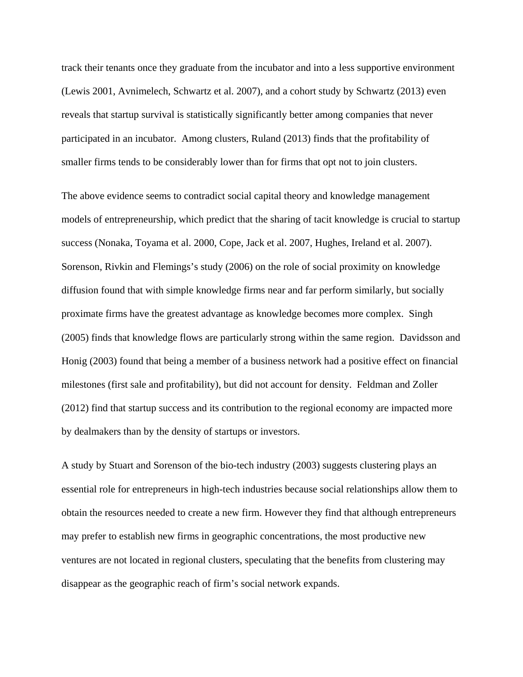track their tenants once they graduate from the incubator and into a less supportive environment (Lewis 2001, Avnimelech, Schwartz et al. 2007), and a cohort study by Schwartz (2013) even reveals that startup survival is statistically significantly better among companies that never participated in an incubator. Among clusters, Ruland (2013) finds that the profitability of smaller firms tends to be considerably lower than for firms that opt not to join clusters.

The above evidence seems to contradict social capital theory and knowledge management models of entrepreneurship, which predict that the sharing of tacit knowledge is crucial to startup success (Nonaka, Toyama et al. 2000, Cope, Jack et al. 2007, Hughes, Ireland et al. 2007). Sorenson, Rivkin and Flemings's study (2006) on the role of social proximity on knowledge diffusion found that with simple knowledge firms near and far perform similarly, but socially proximate firms have the greatest advantage as knowledge becomes more complex. Singh (2005) finds that knowledge flows are particularly strong within the same region. Davidsson and Honig (2003) found that being a member of a business network had a positive effect on financial milestones (first sale and profitability), but did not account for density. Feldman and Zoller (2012) find that startup success and its contribution to the regional economy are impacted more by dealmakers than by the density of startups or investors.

A study by Stuart and Sorenson of the bio-tech industry (2003) suggests clustering plays an essential role for entrepreneurs in high-tech industries because social relationships allow them to obtain the resources needed to create a new firm. However they find that although entrepreneurs may prefer to establish new firms in geographic concentrations, the most productive new ventures are not located in regional clusters, speculating that the benefits from clustering may disappear as the geographic reach of firm's social network expands.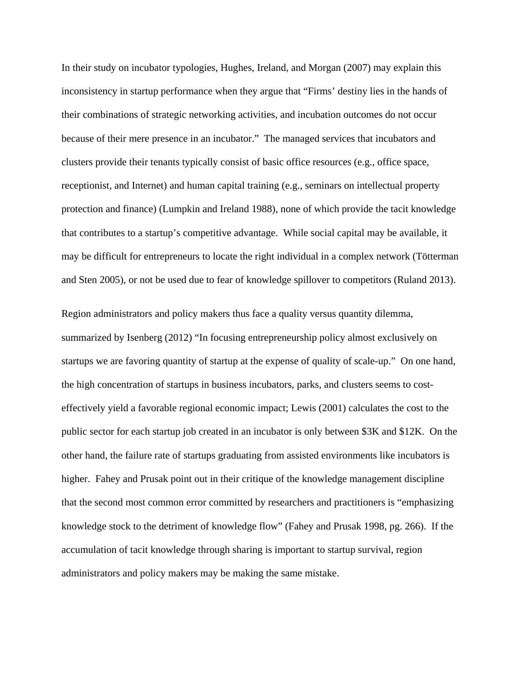In their study on incubator typologies, Hughes, Ireland, and Morgan (2007) may explain this inconsistency in startup performance when they argue that "Firms' destiny lies in the hands of their combinations of strategic networking activities, and incubation outcomes do not occur because of their mere presence in an incubator." The managed services that incubators and clusters provide their tenants typically consist of basic office resources (e.g., office space, receptionist, and Internet) and human capital training (e.g., seminars on intellectual property protection and finance) (Lumpkin and Ireland 1988), none of which provide the tacit knowledge that contributes to a startup's competitive advantage. While social capital may be available, it may be difficult for entrepreneurs to locate the right individual in a complex network (Tötterman and Sten 2005), or not be used due to fear of knowledge spillover to competitors (Ruland 2013).

Region administrators and policy makers thus face a quality versus quantity dilemma, summarized by Isenberg (2012) "In focusing entrepreneurship policy almost exclusively on startups we are favoring quantity of startup at the expense of quality of scale-up." On one hand, the high concentration of startups in business incubators, parks, and clusters seems to costeffectively yield a favorable regional economic impact; Lewis (2001) calculates the cost to the public sector for each startup job created in an incubator is only between \$3K and \$12K. On the other hand, the failure rate of startups graduating from assisted environments like incubators is higher. Fahey and Prusak point out in their critique of the knowledge management discipline that the second most common error committed by researchers and practitioners is "emphasizing knowledge stock to the detriment of knowledge flow" (Fahey and Prusak 1998, pg. 266). If the accumulation of tacit knowledge through sharing is important to startup survival, region administrators and policy makers may be making the same mistake.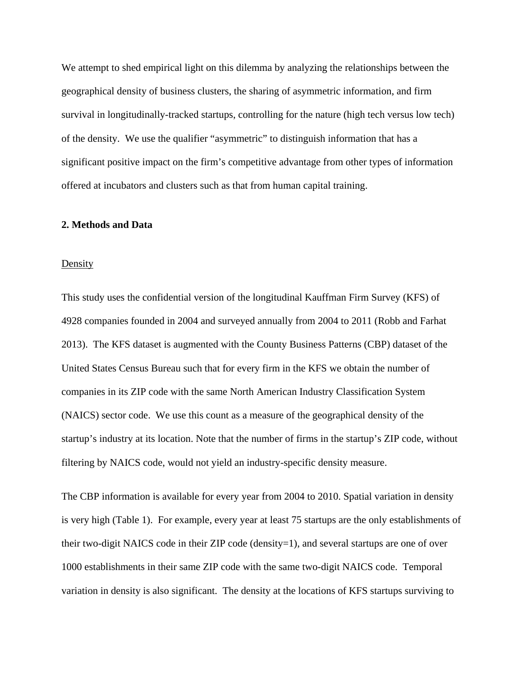We attempt to shed empirical light on this dilemma by analyzing the relationships between the geographical density of business clusters, the sharing of asymmetric information, and firm survival in longitudinally-tracked startups, controlling for the nature (high tech versus low tech) of the density. We use the qualifier "asymmetric" to distinguish information that has a significant positive impact on the firm's competitive advantage from other types of information offered at incubators and clusters such as that from human capital training.

#### **2. Methods and Data**

#### Density

This study uses the confidential version of the longitudinal Kauffman Firm Survey (KFS) of 4928 companies founded in 2004 and surveyed annually from 2004 to 2011 (Robb and Farhat 2013). The KFS dataset is augmented with the County Business Patterns (CBP) dataset of the United States Census Bureau such that for every firm in the KFS we obtain the number of companies in its ZIP code with the same North American Industry Classification System (NAICS) sector code. We use this count as a measure of the geographical density of the startup's industry at its location. Note that the number of firms in the startup's ZIP code, without filtering by NAICS code, would not yield an industry-specific density measure.

The CBP information is available for every year from 2004 to 2010. Spatial variation in density is very high [\(Table 1\)](#page-5-0). For example, every year at least 75 startups are the only establishments of their two-digit NAICS code in their ZIP code (density=1), and several startups are one of over 1000 establishments in their same ZIP code with the same two-digit NAICS code. Temporal variation in density is also significant. The density at the locations of KFS startups surviving to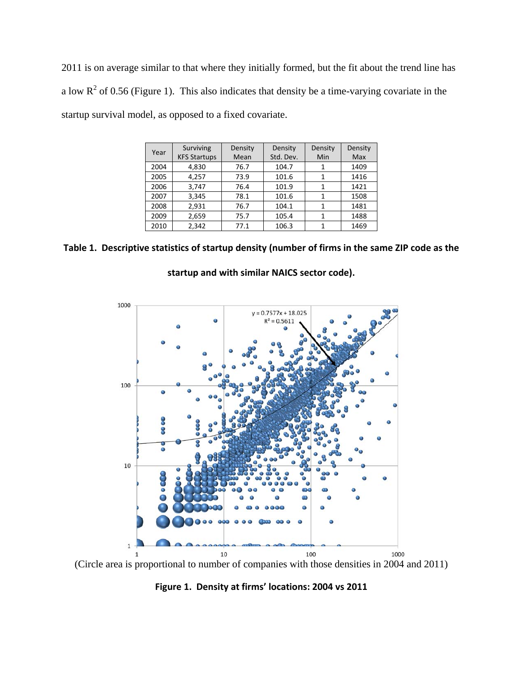2011 is on average similar to that where they initially formed, but the fit about the trend line has a low  $R^2$  of 0.56 [\(Figure 1\)](#page-5-1). This also indicates that density be a time-varying covariate in the startup survival model, as opposed to a fixed covariate.

|      | Surviving           | Density | Density   | Density | Density |
|------|---------------------|---------|-----------|---------|---------|
| Year | <b>KFS Startups</b> | Mean    | Std. Dev. | Min     | Max     |
| 2004 | 4,830               | 76.7    | 104.7     |         | 1409    |
| 2005 | 4,257               | 73.9    | 101.6     |         | 1416    |
| 2006 | 3,747               | 76.4    | 101.9     |         | 1421    |
| 2007 | 3,345               | 78.1    | 101.6     |         | 1508    |
| 2008 | 2,931               | 76.7    | 104.1     |         | 1481    |
| 2009 | 2,659               | 75.7    | 105.4     |         | 1488    |
| 2010 | 2,342               | 77.1    | 106.3     |         | 1469    |

<span id="page-5-0"></span>**Table 1. Descriptive statistics of startup density (number of firms in the same ZIP code as the** 



**startup and with similar NAICS sector code).**

<span id="page-5-1"></span>(Circle area is proportional to number of companies with those densities in 2004 and 2011)

**Figure 1. Density at firms' locations: 2004 vs 2011**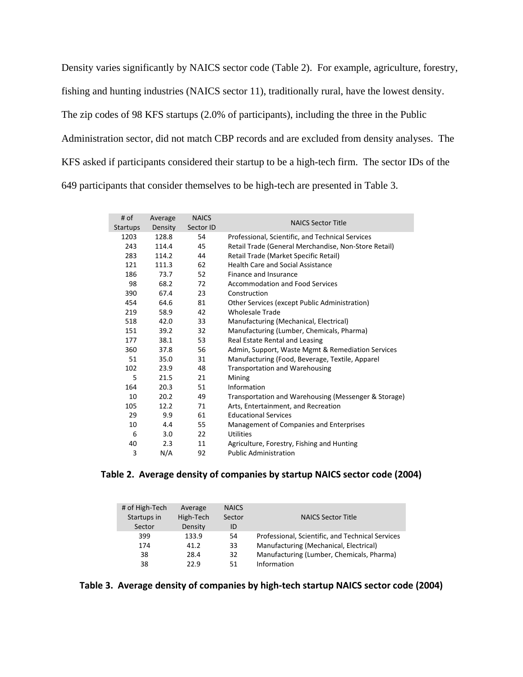Density varies significantly by NAICS sector code [\(Table 2\)](#page-6-0). For example, agriculture, forestry, fishing and hunting industries (NAICS sector 11), traditionally rural, have the lowest density. The zip codes of 98 KFS startups (2.0% of participants), including the three in the Public Administration sector, did not match CBP records and are excluded from density analyses. The KFS asked if participants considered their startup to be a high-tech firm. The sector IDs of the 649 participants that consider themselves to be high-tech are presented in [Table 3.](#page-6-1)

| # of            | Average | <b>NAICS</b> | <b>NAICS Sector Title</b>                            |
|-----------------|---------|--------------|------------------------------------------------------|
| <b>Startups</b> | Density | Sector ID    |                                                      |
| 1203            | 128.8   | 54           | Professional, Scientific, and Technical Services     |
| 243             | 114.4   | 45           | Retail Trade (General Merchandise, Non-Store Retail) |
| 283             | 114.2   | 44           | Retail Trade (Market Specific Retail)                |
| 121             | 111.3   | 62           | <b>Health Care and Social Assistance</b>             |
| 186             | 73.7    | 52           | Finance and Insurance                                |
| 98              | 68.2    | 72           | <b>Accommodation and Food Services</b>               |
| 390             | 67.4    | 23           | Construction                                         |
| 454             | 64.6    | 81           | Other Services (except Public Administration)        |
| 219             | 58.9    | 42           | <b>Wholesale Trade</b>                               |
| 518             | 42.0    | 33           | Manufacturing (Mechanical, Electrical)               |
| 151             | 39.2    | 32           | Manufacturing (Lumber, Chemicals, Pharma)            |
| 177             | 38.1    | 53           | Real Estate Rental and Leasing                       |
| 360             | 37.8    | 56           | Admin, Support, Waste Mgmt & Remediation Services    |
| 51              | 35.0    | 31           | Manufacturing (Food, Beverage, Textile, Apparel      |
| 102             | 23.9    | 48           | <b>Transportation and Warehousing</b>                |
| 5               | 21.5    | 21           | Mining                                               |
| 164             | 20.3    | 51           | Information                                          |
| 10              | 20.2    | 49           | Transportation and Warehousing (Messenger & Storage) |
| 105             | 12.2    | 71           | Arts, Entertainment, and Recreation                  |
| 29              | 9.9     | 61           | <b>Educational Services</b>                          |
| 10              | 4.4     | 55           | Management of Companies and Enterprises              |
| 6               | 3.0     | 22           | <b>Utilities</b>                                     |
| 40              | 2.3     | 11           | Agriculture, Forestry, Fishing and Hunting           |
| 3               | N/A     | 92           | <b>Public Administration</b>                         |

#### <span id="page-6-0"></span>**Table 2. Average density of companies by startup NAICS sector code (2004)**

| # of High-Tech<br>Startups in | Average<br>High-Tech | <b>NAICS</b><br>Sector | <b>NAICS Sector Title</b>                        |
|-------------------------------|----------------------|------------------------|--------------------------------------------------|
| Sector                        | Density              | ID.                    |                                                  |
| 399                           | 133.9                | 54                     | Professional, Scientific, and Technical Services |
| 174                           | 41.2                 | 33                     | Manufacturing (Mechanical, Electrical)           |
| 38                            | 28.4                 | 32                     | Manufacturing (Lumber, Chemicals, Pharma)        |
| 38                            | 22.9                 | 51                     | Information                                      |

<span id="page-6-1"></span>**Table 3. Average density of companies by high-tech startup NAICS sector code (2004)**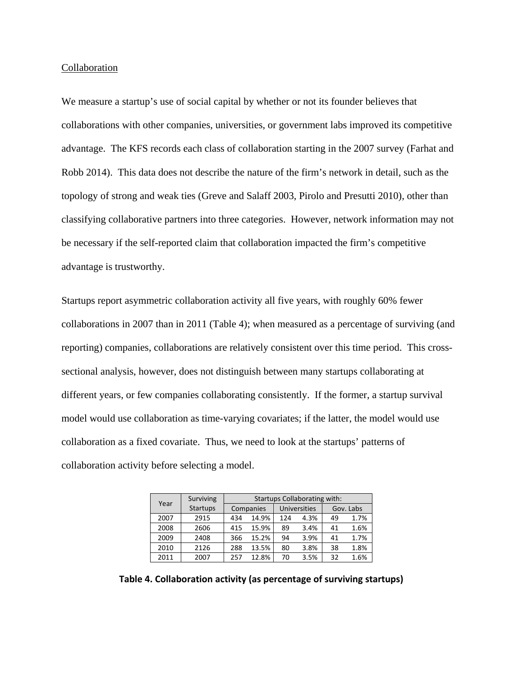#### Collaboration

We measure a startup's use of social capital by whether or not its founder believes that collaborations with other companies, universities, or government labs improved its competitive advantage. The KFS records each class of collaboration starting in the 2007 survey (Farhat and Robb 2014). This data does not describe the nature of the firm's network in detail, such as the topology of strong and weak ties (Greve and Salaff 2003, Pirolo and Presutti 2010), other than classifying collaborative partners into three categories. However, network information may not be necessary if the self-reported claim that collaboration impacted the firm's competitive advantage is trustworthy.

Startups report asymmetric collaboration activity all five years, with roughly 60% fewer collaborations in 2007 than in 2011 [\(Table 4\)](#page-7-0); when measured as a percentage of surviving (and reporting) companies, collaborations are relatively consistent over this time period. This crosssectional analysis, however, does not distinguish between many startups collaborating at different years, or few companies collaborating consistently. If the former, a startup survival model would use collaboration as time-varying covariates; if the latter, the model would use collaboration as a fixed covariate. Thus, we need to look at the startups' patterns of collaboration activity before selecting a model.

|                         | Surviving |           | <b>Startups Collaborating with:</b> |                     |      |           |      |  |
|-------------------------|-----------|-----------|-------------------------------------|---------------------|------|-----------|------|--|
| Year<br><b>Startups</b> |           | Companies |                                     | <b>Universities</b> |      | Gov. Labs |      |  |
| 2007                    | 2915      | 434       | 14.9%                               | 124                 | 4.3% | 49        | 1.7% |  |
| 2008                    | 2606      | 415       | 15.9%                               | 89                  | 3.4% | 41        | 1.6% |  |
| 2009                    | 2408      | 366       | 15.2%                               | 94                  | 3.9% | 41        | 1.7% |  |
| 2010                    | 2126      | 288       | 13.5%                               | 80                  | 3.8% | 38        | 1.8% |  |
| 2011                    | 2007      | 257       | 12.8%                               | 70                  | 3.5% | 32        | 1.6% |  |

<span id="page-7-0"></span>**Table 4. Collaboration activity (as percentage of surviving startups)**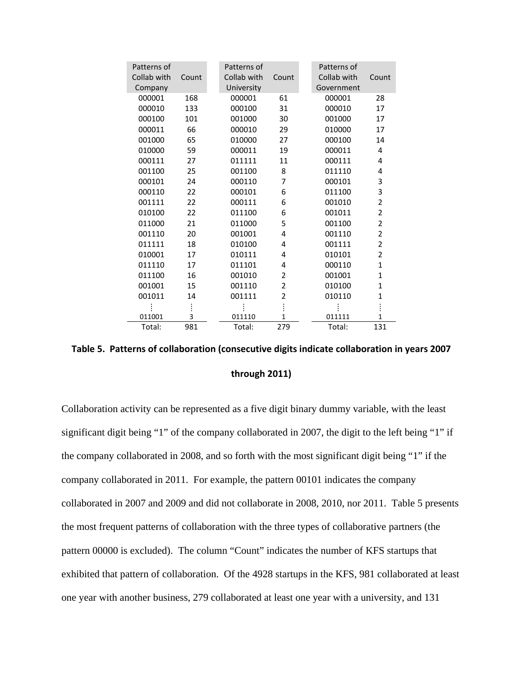| Patterns of<br>Collab with<br>Company | Count | Patterns of<br>Collab with<br>University | Count          | Patterns of<br>Collab with<br>Count<br>Government |
|---------------------------------------|-------|------------------------------------------|----------------|---------------------------------------------------|
| 000001                                | 168   | 000001                                   | 61             | 000001<br>28                                      |
| 000010                                | 133   | 000100                                   | 31             | 000010<br>17                                      |
| 000100                                | 101   | 001000                                   | 30             | 001000<br>17                                      |
| 000011                                | 66    | 000010                                   | 29             | 010000<br>17                                      |
| 001000                                | 65    | 010000                                   | 27             | 000100<br>14                                      |
| 010000                                | 59    | 000011                                   | 19             | 000011<br>4                                       |
| 000111                                | 27    | 011111                                   | 11             | 000111<br>4                                       |
| 001100                                | 25    | 001100                                   | 8              | 011110<br>4                                       |
| 000101                                | 24    | 000110                                   | 7              | 3<br>000101                                       |
| 000110                                | 22    | 000101                                   | 6              | 3<br>011100                                       |
| 001111                                | 22    | 000111                                   | 6              | $\overline{2}$<br>001010                          |
| 010100                                | 22    | 011100                                   | 6              | $\overline{2}$<br>001011                          |
| 011000                                | 21    | 011000                                   | 5              | $\overline{2}$<br>001100                          |
| 001110                                | 20    | 001001                                   | 4              | 2<br>001110                                       |
| 011111                                | 18    | 010100                                   | 4              | $\overline{2}$<br>001111                          |
| 010001                                | 17    | 010111                                   | 4              | 2<br>010101                                       |
| 011110                                | 17    | 011101                                   | 4              | 000110<br>1                                       |
| 011100                                | 16    | 001010                                   | $\overline{2}$ | $\mathbf{1}$<br>001001                            |
| 001001                                | 15    | 001110                                   | $\overline{2}$ | $\mathbf{1}$<br>010100                            |
| 001011                                | 14    | 001111                                   | 2              | 1<br>010110                                       |
|                                       |       |                                          |                |                                                   |
| 011001                                | 3     | 011110                                   | $\mathbf{1}$   | $\mathbf{1}$<br>011111                            |
| Total:                                | 981   | Total:                                   | 279            | Total:<br>131                                     |

<span id="page-8-0"></span>

| Table 5. Patterns of collaboration (consecutive digits indicate collaboration in years 2007 |
|---------------------------------------------------------------------------------------------|
| through 2011)                                                                               |

Collaboration activity can be represented as a five digit binary dummy variable, with the least significant digit being "1" of the company collaborated in 2007, the digit to the left being "1" if the company collaborated in 2008, and so forth with the most significant digit being "1" if the company collaborated in 2011. For example, the pattern 00101 indicates the company collaborated in 2007 and 2009 and did not collaborate in 2008, 2010, nor 2011. [Table 5](#page-8-0) presents the most frequent patterns of collaboration with the three types of collaborative partners (the pattern 00000 is excluded). The column "Count" indicates the number of KFS startups that exhibited that pattern of collaboration. Of the 4928 startups in the KFS, 981 collaborated at least one year with another business, 279 collaborated at least one year with a university, and 131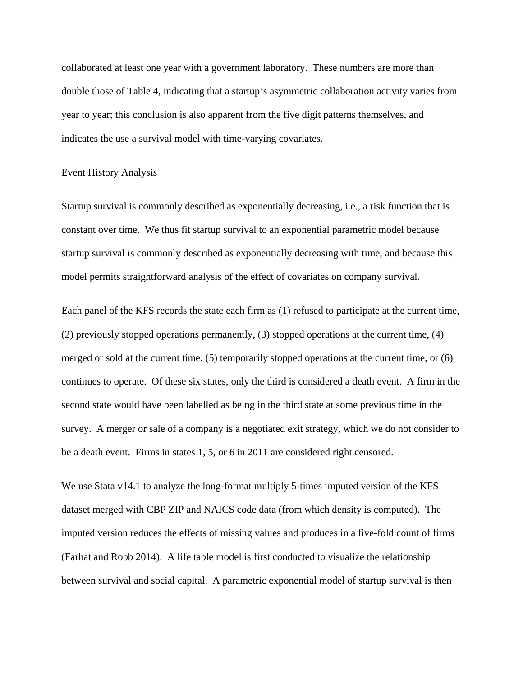collaborated at least one year with a government laboratory. These numbers are more than double those of [Table 4,](#page-7-0) indicating that a startup's asymmetric collaboration activity varies from year to year; this conclusion is also apparent from the five digit patterns themselves, and indicates the use a survival model with time-varying covariates.

#### Event History Analysis

Startup survival is commonly described as exponentially decreasing, i.e., a risk function that is constant over time. We thus fit startup survival to an exponential parametric model because startup survival is commonly described as exponentially decreasing with time, and because this model permits straightforward analysis of the effect of covariates on company survival.

Each panel of the KFS records the state each firm as (1) refused to participate at the current time, (2) previously stopped operations permanently, (3) stopped operations at the current time, (4) merged or sold at the current time, (5) temporarily stopped operations at the current time, or (6) continues to operate. Of these six states, only the third is considered a death event. A firm in the second state would have been labelled as being in the third state at some previous time in the survey. A merger or sale of a company is a negotiated exit strategy, which we do not consider to be a death event. Firms in states 1, 5, or 6 in 2011 are considered right censored.

We use Stata v14.1 to analyze the long-format multiply 5-times imputed version of the KFS dataset merged with CBP ZIP and NAICS code data (from which density is computed). The imputed version reduces the effects of missing values and produces in a five-fold count of firms (Farhat and Robb 2014). A life table model is first conducted to visualize the relationship between survival and social capital. A parametric exponential model of startup survival is then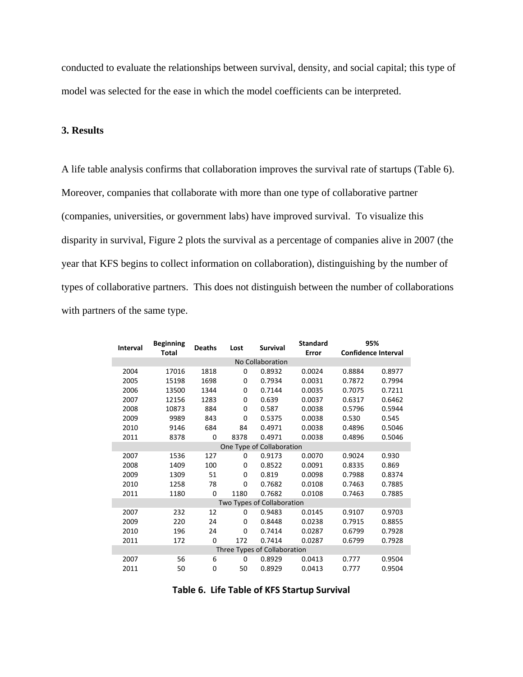conducted to evaluate the relationships between survival, density, and social capital; this type of model was selected for the ease in which the model coefficients can be interpreted.

## **3. Results**

A life table analysis confirms that collaboration improves the survival rate of startups [\(Table 6\)](#page-10-0). Moreover, companies that collaborate with more than one type of collaborative partner (companies, universities, or government labs) have improved survival. To visualize this disparity in survival, [Figure 2](#page-11-0) plots the survival as a percentage of companies alive in 2007 (the year that KFS begins to collect information on collaboration), distinguishing by the number of types of collaborative partners. This does not distinguish between the number of collaborations with partners of the same type.

| <b>Interval</b> | <b>Beginning</b> |          | Lost<br><b>Deaths</b> |                              | <b>Standard</b> | 95%                        |        |  |  |
|-----------------|------------------|----------|-----------------------|------------------------------|-----------------|----------------------------|--------|--|--|
|                 | <b>Total</b>     |          |                       | <b>Survival</b><br>Error     |                 | <b>Confidence Interval</b> |        |  |  |
|                 | No Collaboration |          |                       |                              |                 |                            |        |  |  |
| 2004            | 17016            | 1818     | 0                     | 0.8932                       | 0.0024          | 0.8884                     | 0.8977 |  |  |
| 2005            | 15198            | 1698     | 0                     | 0.7934                       | 0.0031          | 0.7872                     | 0.7994 |  |  |
| 2006            | 13500            | 1344     | 0                     | 0.7144                       | 0.0035          | 0.7075                     | 0.7211 |  |  |
| 2007            | 12156            | 1283     | 0                     | 0.639                        | 0.0037          | 0.6317                     | 0.6462 |  |  |
| 2008            | 10873            | 884      | 0                     | 0.587                        | 0.0038          | 0.5796                     | 0.5944 |  |  |
| 2009            | 9989             | 843      | 0                     | 0.5375                       | 0.0038          | 0.530                      | 0.545  |  |  |
| 2010            | 9146             | 684      | 84                    | 0.4971                       | 0.0038          | 0.4896                     | 0.5046 |  |  |
| 2011            | 8378             | 0        | 8378                  | 0.4971                       | 0.0038          | 0.4896                     | 0.5046 |  |  |
|                 |                  |          |                       | One Type of Collaboration    |                 |                            |        |  |  |
| 2007            | 1536             | 127      | 0                     | 0.9173                       | 0.0070          | 0.9024                     | 0.930  |  |  |
| 2008            | 1409             | 100      | 0                     | 0.8522                       | 0.0091          | 0.8335                     | 0.869  |  |  |
| 2009            | 1309             | 51       | 0                     | 0.819                        | 0.0098          | 0.7988                     | 0.8374 |  |  |
| 2010            | 1258             | 78       | 0                     | 0.7682                       | 0.0108          | 0.7463                     | 0.7885 |  |  |
| 2011            | 1180             | $\Omega$ | 1180                  | 0.7682                       | 0.0108          | 0.7463                     | 0.7885 |  |  |
|                 |                  |          |                       | Two Types of Collaboration   |                 |                            |        |  |  |
| 2007            | 232              | 12       | 0                     | 0.9483                       | 0.0145          | 0.9107                     | 0.9703 |  |  |
| 2009            | 220              | 24       | 0                     | 0.8448                       | 0.0238          | 0.7915                     | 0.8855 |  |  |
| 2010            | 196              | 24       | 0                     | 0.7414                       | 0.0287          | 0.6799                     | 0.7928 |  |  |
| 2011            | 172              | 0        | 172                   | 0.7414                       | 0.0287          | 0.6799                     | 0.7928 |  |  |
|                 |                  |          |                       | Three Types of Collaboration |                 |                            |        |  |  |
| 2007            | 56               | 6        | 0                     | 0.8929                       | 0.0413          | 0.777                      | 0.9504 |  |  |
| 2011            | 50               | 0        | 50                    | 0.8929                       | 0.0413          | 0.777                      | 0.9504 |  |  |

<span id="page-10-0"></span>

|  |  | Table 6. Life Table of KFS Startup Survival |  |
|--|--|---------------------------------------------|--|
|--|--|---------------------------------------------|--|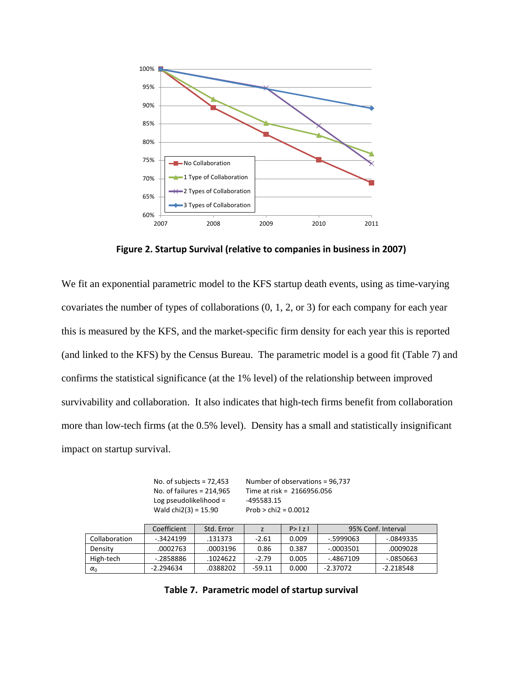

**Figure 2. Startup Survival (relative to companies in business in 2007)**

<span id="page-11-0"></span>We fit an exponential parametric model to the KFS startup death events, using as time-varying covariates the number of types of collaborations (0, 1, 2, or 3) for each company for each year this is measured by the KFS, and the market-specific firm density for each year this is reported (and linked to the KFS) by the Census Bureau. The parametric model is a good fit [\(Table 7\)](#page-11-1) and confirms the statistical significance (at the 1% level) of the relationship between improved survivability and collaboration. It also indicates that high-tech firms benefit from collaboration more than low-tech firms (at the 0.5% level). Density has a small and statistically insignificant impact on startup survival.

No. of subjects = 72,453 Number of observations = 96,737 No. of failures = 214,965 Time at risk = 2166956.056 Log pseudolikelihood =  $-495583.15$ Wald  $chi2(3) = 15.90$  Prob > chi2 = 0.0012

<span id="page-11-1"></span>

|               | Coefficient | Std. Error |          | P >  z | 95% Conf. Interval |             |
|---------------|-------------|------------|----------|--------|--------------------|-------------|
| Collaboration | - 3424199   | .131373    | $-2.61$  | 0.009  | -.5999063          | -.0849335   |
| Density       | .0002763    | .0003196   | 0.86     | 0.387  | -.0003501          | .0009028    |
| High-tech     | -.2858886   | .1024622   | $-2.79$  | 0.005  | -.4867109          | -.0850663   |
| $\alpha_0$    | -2.294634   | .0388202   | $-59.11$ | 0.000  | $-2.37072$         | $-2.218548$ |

|  | Table 7. Parametric model of startup survival |  |  |
|--|-----------------------------------------------|--|--|
|--|-----------------------------------------------|--|--|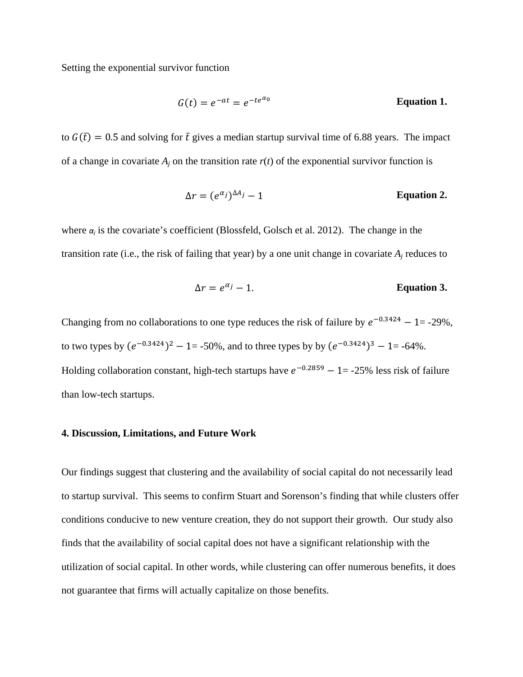Setting the exponential survivor function

$$
G(t) = e^{-at} = e^{-te^{\alpha_0}}
$$
 Equation 1.

to  $G(\bar{t}) = 0.5$  and solving for  $\bar{t}$  gives a median startup survival time of 6.88 years. The impact of a change in covariate  $A_i$  on the transition rate  $r(t)$  of the exponential survivor function is

$$
\Delta r = (e^{\alpha_j})^{\Delta A_j} - 1
$$
 **Equation 2.**

where  $\alpha_i$  is the covariate's coefficient (Blossfeld, Golsch et al. 2012). The change in the transition rate (i.e., the risk of failing that year) by a one unit change in covariate  $A_i$  reduces to

$$
\Delta r = e^{\alpha_j} - 1.
$$
 Equation 3.

Changing from no collaborations to one type reduces the risk of failure by  $e^{-0.3424} - 1 = -29\%$ , to two types by  $(e^{-0.3424})^2 - 1 = -50\%$ , and to three types by by  $(e^{-0.3424})^3 - 1 = -64\%$ . Holding collaboration constant, high-tech startups have  $e^{-0.2859} - 1 = -25\%$  less risk of failure than low-tech startups.

#### **4. Discussion, Limitations, and Future Work**

Our findings suggest that clustering and the availability of social capital do not necessarily lead to startup survival. This seems to confirm Stuart and Sorenson's finding that while clusters offer conditions conducive to new venture creation, they do not support their growth. Our study also finds that the availability of social capital does not have a significant relationship with the utilization of social capital. In other words, while clustering can offer numerous benefits, it does not guarantee that firms will actually capitalize on those benefits.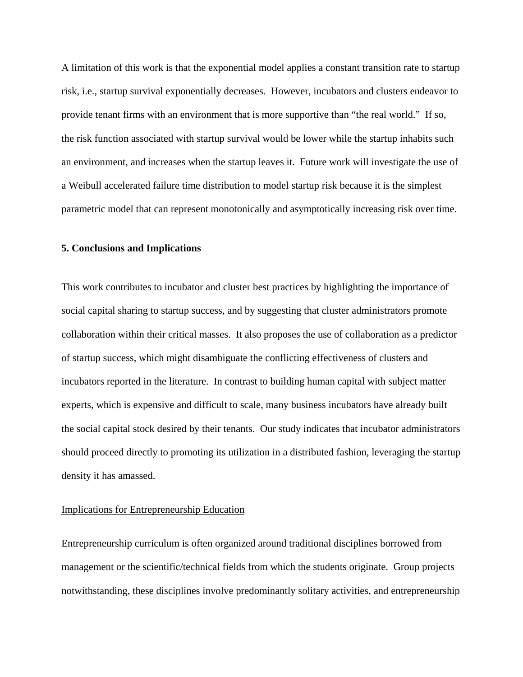A limitation of this work is that the exponential model applies a constant transition rate to startup risk, i.e., startup survival exponentially decreases. However, incubators and clusters endeavor to provide tenant firms with an environment that is more supportive than "the real world." If so, the risk function associated with startup survival would be lower while the startup inhabits such an environment, and increases when the startup leaves it. Future work will investigate the use of a Weibull accelerated failure time distribution to model startup risk because it is the simplest parametric model that can represent monotonically and asymptotically increasing risk over time.

#### **5. Conclusions and Implications**

This work contributes to incubator and cluster best practices by highlighting the importance of social capital sharing to startup success, and by suggesting that cluster administrators promote collaboration within their critical masses. It also proposes the use of collaboration as a predictor of startup success, which might disambiguate the conflicting effectiveness of clusters and incubators reported in the literature. In contrast to building human capital with subject matter experts, which is expensive and difficult to scale, many business incubators have already built the social capital stock desired by their tenants. Our study indicates that incubator administrators should proceed directly to promoting its utilization in a distributed fashion, leveraging the startup density it has amassed.

#### Implications for Entrepreneurship Education

Entrepreneurship curriculum is often organized around traditional disciplines borrowed from management or the scientific/technical fields from which the students originate. Group projects notwithstanding, these disciplines involve predominantly solitary activities, and entrepreneurship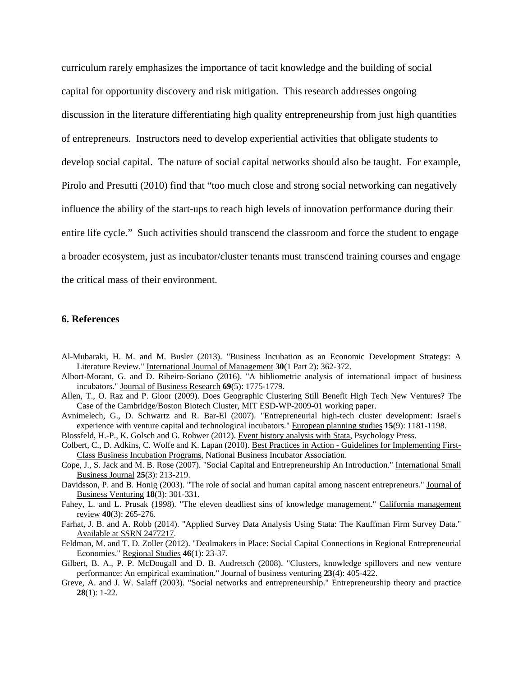curriculum rarely emphasizes the importance of tacit knowledge and the building of social capital for opportunity discovery and risk mitigation. This research addresses ongoing discussion in the literature differentiating high quality entrepreneurship from just high quantities of entrepreneurs. Instructors need to develop experiential activities that obligate students to develop social capital. The nature of social capital networks should also be taught. For example, Pirolo and Presutti (2010) find that "too much close and strong social networking can negatively influence the ability of the start-ups to reach high levels of innovation performance during their entire life cycle." Such activities should transcend the classroom and force the student to engage a broader ecosystem, just as incubator/cluster tenants must transcend training courses and engage the critical mass of their environment.

#### **6. References**

- Al-Mubaraki, H. M. and M. Busler (2013). "Business Incubation as an Economic Development Strategy: A Literature Review." International Journal of Management **30**(1 Part 2): 362-372.
- Albort-Morant, G. and D. Ribeiro-Soriano (2016). "A bibliometric analysis of international impact of business incubators." Journal of Business Research **69**(5): 1775-1779.
- Allen, T., O. Raz and P. Gloor (2009). Does Geographic Clustering Still Benefit High Tech New Ventures? The Case of the Cambridge/Boston Biotech Cluster, MIT ESD-WP-2009-01 working paper.
- Avnimelech, G., D. Schwartz and R. Bar-El (2007). "Entrepreneurial high-tech cluster development: Israel's experience with venture capital and technological incubators." European planning studies **15**(9): 1181-1198.
- Blossfeld, H.-P., K. Golsch and G. Rohwer (2012). Event history analysis with Stata, Psychology Press.
- Colbert, C., D. Adkins, C. Wolfe and K. Lapan (2010). Best Practices in Action Guidelines for Implementing First-Class Business Incubation Programs, National Business Incubator Association.
- Cope, J., S. Jack and M. B. Rose (2007). "Social Capital and Entrepreneurship An Introduction." International Small Business Journal **25**(3): 213-219.
- Davidsson, P. and B. Honig (2003). "The role of social and human capital among nascent entrepreneurs." Journal of Business Venturing **18**(3): 301-331.
- Fahey, L. and L. Prusak (1998). "The eleven deadliest sins of knowledge management." California management review **40**(3): 265-276.
- Farhat, J. B. and A. Robb (2014). "Applied Survey Data Analysis Using Stata: The Kauffman Firm Survey Data." Available at SSRN 2477217.
- Feldman, M. and T. D. Zoller (2012). "Dealmakers in Place: Social Capital Connections in Regional Entrepreneurial Economies." Regional Studies **46**(1): 23-37.
- Gilbert, B. A., P. P. McDougall and D. B. Audretsch (2008). "Clusters, knowledge spillovers and new venture performance: An empirical examination." Journal of business venturing **23**(4): 405-422.
- Greve, A. and J. W. Salaff (2003). "Social networks and entrepreneurship." Entrepreneurship theory and practice **28**(1): 1-22.